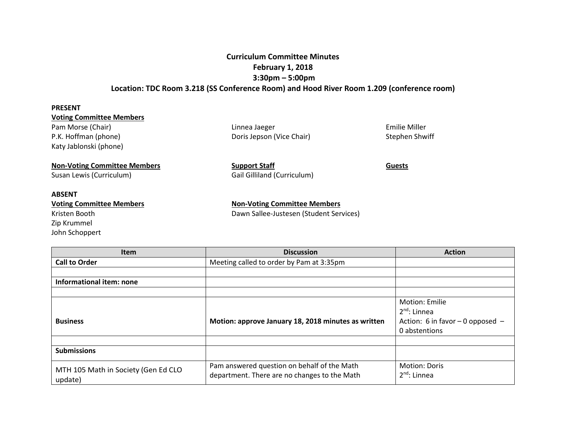## **Curriculum Committee Minutes February 1, 2018 3:30pm – 5:00pm Location: TDC Room 3.218 (SS Conference Room) and Hood River Room 1.209 (conference room)**

| <b>PRESENT</b>                      |                             |                |  |  |  |
|-------------------------------------|-----------------------------|----------------|--|--|--|
| <b>Voting Committee Members</b>     |                             |                |  |  |  |
| Pam Morse (Chair)                   | Linnea Jaeger               | Emilie Miller  |  |  |  |
| P.K. Hoffman (phone)                | Doris Jepson (Vice Chair)   | Stephen Shwiff |  |  |  |
| Katy Jablonski (phone)              |                             |                |  |  |  |
| <b>Non-Voting Committee Members</b> | <b>Support Staff</b>        | <b>Guests</b>  |  |  |  |
| Susan Lewis (Curriculum)            | Gail Gilliland (Curriculum) |                |  |  |  |

**ABSENT**

**Voting Committee Members Non-Voting Committee Members** Kristen Booth Dawn Sallee-Justesen (Student Services) Zip Krummel John Schoppert

| <b>Item</b>                         | <b>Discussion</b>                                   | <b>Action</b>                        |
|-------------------------------------|-----------------------------------------------------|--------------------------------------|
| <b>Call to Order</b>                | Meeting called to order by Pam at 3:35pm            |                                      |
|                                     |                                                     |                                      |
| Informational item: none            |                                                     |                                      |
|                                     |                                                     |                                      |
|                                     |                                                     | Motion: Emilie                       |
|                                     |                                                     | $2^{nd}$ : Linnea                    |
| <b>Business</b>                     | Motion: approve January 18, 2018 minutes as written | Action: 6 in favor $-$ 0 opposed $-$ |
|                                     |                                                     | 0 abstentions                        |
|                                     |                                                     |                                      |
| <b>Submissions</b>                  |                                                     |                                      |
| MTH 105 Math in Society (Gen Ed CLO | Pam answered question on behalf of the Math         | <b>Motion: Doris</b>                 |
| update)                             | department. There are no changes to the Math        | $2^{nd}$ : Linnea                    |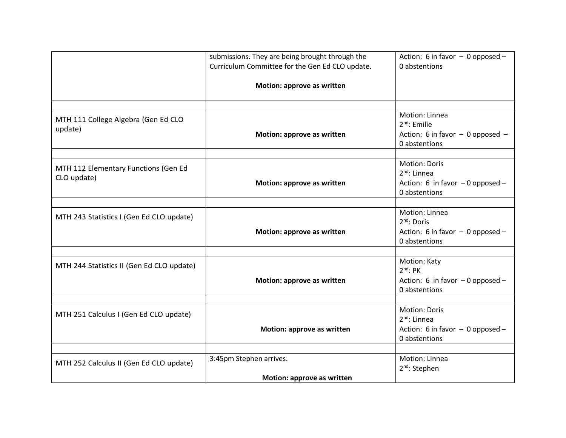|                                                     | submissions. They are being brought through the | Action: 6 in favor $-$ 0 opposed $-$                  |
|-----------------------------------------------------|-------------------------------------------------|-------------------------------------------------------|
|                                                     | Curriculum Committee for the Gen Ed CLO update. | 0 abstentions                                         |
|                                                     | Motion: approve as written                      |                                                       |
|                                                     |                                                 |                                                       |
| MTH 111 College Algebra (Gen Ed CLO<br>update)      |                                                 | Motion: Linnea<br>$2nd$ : Emilie                      |
|                                                     | Motion: approve as written                      | Action: 6 in favor $-$ 0 opposed $-$<br>0 abstentions |
|                                                     |                                                 |                                                       |
| MTH 112 Elementary Functions (Gen Ed<br>CLO update) |                                                 | <b>Motion: Doris</b><br>$2^{nd}$ : Linnea             |
|                                                     | Motion: approve as written                      | Action: 6 in favor $-0$ opposed $-$<br>0 abstentions  |
|                                                     |                                                 |                                                       |
| MTH 243 Statistics I (Gen Ed CLO update)            |                                                 | Motion: Linnea<br>$2nd$ : Doris                       |
|                                                     | Motion: approve as written                      | Action: 6 in favor $-$ 0 opposed $-$<br>0 abstentions |
|                                                     |                                                 |                                                       |
| MTH 244 Statistics II (Gen Ed CLO update)           |                                                 | Motion: Katy<br>$2nd$ : PK                            |
|                                                     | Motion: approve as written                      | Action: 6 in favor $-0$ opposed $-$<br>0 abstentions  |
|                                                     |                                                 |                                                       |
| MTH 251 Calculus I (Gen Ed CLO update)              |                                                 | <b>Motion: Doris</b><br>$2^{nd}$ : Linnea             |
|                                                     | Motion: approve as written                      | Action: 6 in favor $-$ 0 opposed $-$                  |
|                                                     |                                                 | 0 abstentions                                         |
|                                                     |                                                 |                                                       |
| MTH 252 Calculus II (Gen Ed CLO update)             | 3:45pm Stephen arrives.                         | Motion: Linnea<br>2 <sup>nd</sup> : Stephen           |
|                                                     | Motion: approve as written                      |                                                       |
|                                                     |                                                 |                                                       |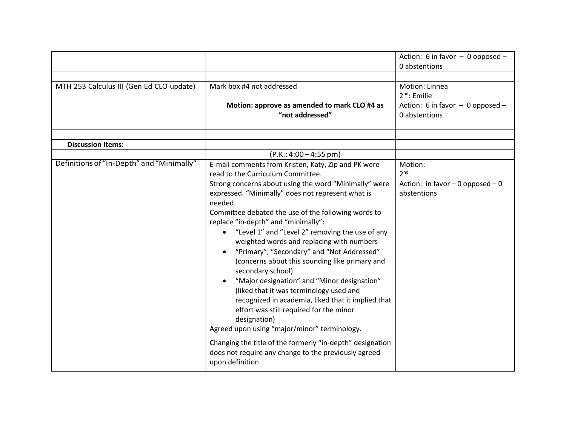|                                           |                                                                                                                                                                                                                                                                                                                                                                                                                                                                                                                                                                                                                                                                                                                                                                                                                                                                                                                                          | Action: 6 in favor $-$ 0 opposed $-$                                                         |
|-------------------------------------------|------------------------------------------------------------------------------------------------------------------------------------------------------------------------------------------------------------------------------------------------------------------------------------------------------------------------------------------------------------------------------------------------------------------------------------------------------------------------------------------------------------------------------------------------------------------------------------------------------------------------------------------------------------------------------------------------------------------------------------------------------------------------------------------------------------------------------------------------------------------------------------------------------------------------------------------|----------------------------------------------------------------------------------------------|
|                                           |                                                                                                                                                                                                                                                                                                                                                                                                                                                                                                                                                                                                                                                                                                                                                                                                                                                                                                                                          | 0 abstentions                                                                                |
| MTH 253 Calculus III (Gen Ed CLO update)  | Mark box #4 not addressed<br>Motion: approve as amended to mark CLO #4 as<br>"not addressed"                                                                                                                                                                                                                                                                                                                                                                                                                                                                                                                                                                                                                                                                                                                                                                                                                                             | Motion: Linnea<br>$2^{nd}$ : Emilie<br>Action: 6 in favor $-$ 0 opposed $-$<br>0 abstentions |
|                                           |                                                                                                                                                                                                                                                                                                                                                                                                                                                                                                                                                                                                                                                                                                                                                                                                                                                                                                                                          |                                                                                              |
| <b>Discussion Items:</b>                  |                                                                                                                                                                                                                                                                                                                                                                                                                                                                                                                                                                                                                                                                                                                                                                                                                                                                                                                                          |                                                                                              |
|                                           | $(P.K.: 4:00 - 4:55 pm)$                                                                                                                                                                                                                                                                                                                                                                                                                                                                                                                                                                                                                                                                                                                                                                                                                                                                                                                 |                                                                                              |
| Definitions of "In-Depth" and "Minimally" | E-mail comments from Kristen, Katy, Zip and PK were<br>read to the Curriculum Committee.<br>Strong concerns about using the word "Minimally" were<br>expressed. "Minimally" does not represent what is<br>needed.<br>Committee debated the use of the following words to<br>replace "in-depth" and "minimally":<br>"Level 1" and "Level 2" removing the use of any<br>weighted words and replacing with numbers<br>"Primary", "Secondary" and "Not Addressed"<br>(concerns about this sounding like primary and<br>secondary school)<br>"Major designation" and "Minor designation"<br>(liked that it was terminology used and<br>recognized in academia, liked that it implied that<br>effort was still required for the minor<br>designation)<br>Agreed upon using "major/minor" terminology.<br>Changing the title of the formerly "in-depth" designation<br>does not require any change to the previously agreed<br>upon definition. | Motion:<br>2 <sup>nd</sup><br>Action: in favor $-0$ opposed $-0$<br>abstentions              |